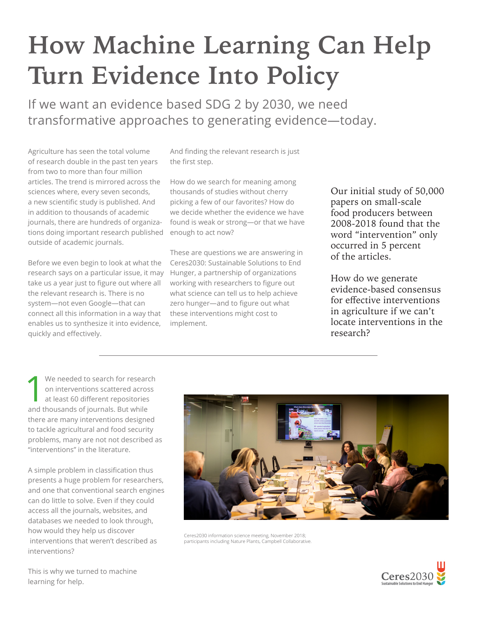## **How Machine Learning Can Help Turn Evidence Into Policy**

If we want an evidence based SDG 2 by 2030, we need transformative approaches to generating evidence—today.

Agriculture has seen the total volume of research double in the past ten years from two to more than four million articles. The trend is mirrored across the sciences where, every seven seconds, a new scientific study is published. And in addition to thousands of academic journals, there are hundreds of organizations doing important research published outside of academic journals.

Before we even begin to look at what the research says on a particular issue, it may take us a year just to figure out where all the relevant research is. There is no system—not even Google—that can connect all this information in a way that enables us to synthesize it into evidence, quickly and effectively.

And finding the relevant research is just the first step.

How do we search for meaning among thousands of studies without cherry picking a few of our favorites? How do we decide whether the evidence we have found is weak or strong—or that we have enough to act now?

These are questions we are answering in Ceres2030: Sustainable Solutions to End Hunger, a partnership of organizations working with researchers to figure out what science can tell us to help achieve zero hunger—and to figure out what these interventions might cost to implement.

Our initial study of 50,000 papers on small-scale food producers between 2008-2018 found that the word "intervention" only occurred in 5 percent of the articles.

How do we generate evidence-based consensus for effective interventions in agriculture if we can't locate interventions in the research?

1 We needed to search for research on interventions scattered across at least 60 different repositories and thousands of journals. But while there are many interventions designed to tackle agricultural and food security problems, many are not not described as "interventions" in the literature.

A simple problem in classification thus presents a huge problem for researchers, and one that conventional search engines can do little to solve. Even if they could access all the journals, websites, and databases we needed to look through, how would they help us discover interventions that weren't described as interventions?



Ceres2030 information science meeting, November 2018; participants including Nature Plants, Campbell Collaborative.



This is why we turned to machine learning for help.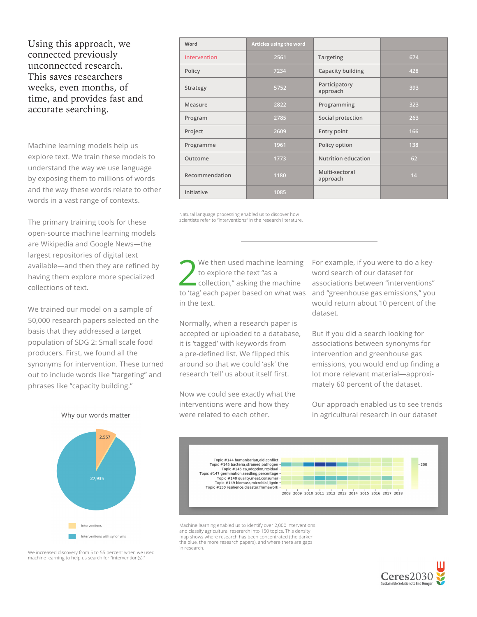## Using this approach, we connected previously unconnected research. This saves researchers weeks, even months, of time, and provides fast and accurate searching.

Machine learning models help us explore text. We train these models to understand the way we use language by exposing them to millions of words and the way these words relate to other words in a vast range of contexts.

The primary training tools for these open-source machine learning models are Wikipedia and Google News—the largest repositories of digital text available—and then they are refined by having them explore more specialized collections of text.

We trained our model on a sample of 50,000 research papers selected on the basis that they addressed a target population of SDG 2: Small scale food producers. First, we found all the synonyms for intervention. These turned out to include words like "targeting" and phrases like "capacity building."

| Word           | Articles using the word |                            |     |
|----------------|-------------------------|----------------------------|-----|
| Intervention   | 2561                    | Targeting                  | 674 |
| Policy         | 7234                    | Capacity building          | 428 |
| Strategy       | 5752                    | Participatory<br>approach  | 393 |
| Measure        | 2822                    | Programming                | 323 |
| Program        | 2785                    | Social protection          | 263 |
| Project        | 2609                    | Entry point                | 166 |
| Programme      | 1961                    | Policy option              | 138 |
| Outcome        | 1773                    | <b>Nutrition education</b> | 62  |
| Recommendation | 1180                    | Multi-sectoral<br>approach | 14  |
| Initiative     | 1085                    |                            |     |

Natural language processing enabled us to discover how scientists refer to "interventions" in the research literature.

We then used machine learning<br>to explore the text "as a<br>collection," asking the machine to explore the text "as a to 'tag' each paper based on what was in the text.

Normally, when a research paper is accepted or uploaded to a database, it is 'tagged' with keywords from a pre-defined list. We flipped this around so that we could 'ask' the research 'tell' us about itself first.

Now we could see exactly what the interventions were and how they were related to each other.

For example, if you were to do a keyword search of our dataset for associations between "interventions" and "greenhouse gas emissions," you would return about 10 percent of the dataset.

But if you did a search looking for associations between synonyms for intervention and greenhouse gas emissions, you would end up finding a lot more relevant material—approximately 60 percent of the dataset.

Our approach enabled us to see trends in agricultural research in our dataset



Machine learning enabled us to identify over 2,000 interventions and classify agricultural reserarch into 150 topics. This density map shows where research has been concentrated (the darker the blue, the more research papers), and where there are gaps in research.



Why our words matter



We increased discovery from 5 to 55 percent when we used machine learning to help us search for "intervention(s)."